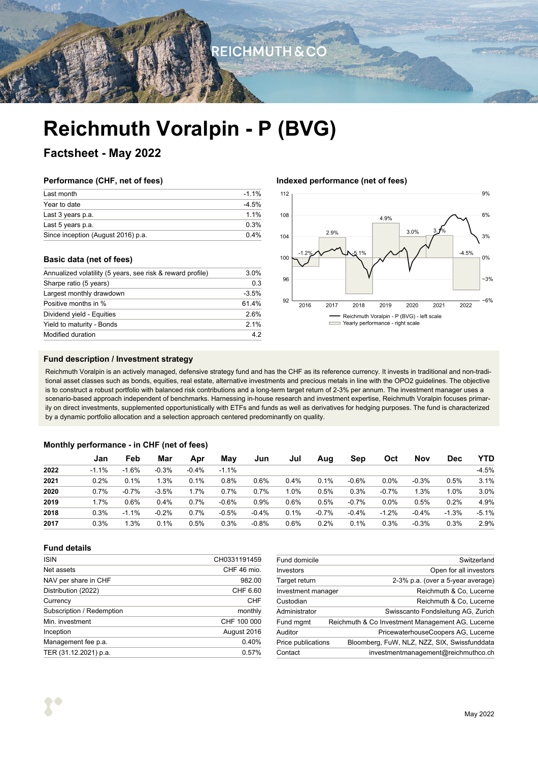**REICHMUTH & CO** 

# **Reichmuth Voralpin - P (BVG)**

### **Factsheet - May 2022**

### **Performance (CHF, net of fees)**

| Last month                         | $-1.1\%$ |
|------------------------------------|----------|
| Year to date                       | $-4.5%$  |
| Last 3 years p.a.                  | $11\%$   |
| Last 5 years p.a.                  | 0.3%     |
| Since inception (August 2016) p.a. | $0.4\%$  |

### **Basic data (net of fees)**

| Annualized volatility (5 years, see risk & reward profile) | 3.0%    |  |
|------------------------------------------------------------|---------|--|
| Sharpe ratio (5 years)                                     | 0.3     |  |
| Largest monthly drawdown                                   | $-3.5%$ |  |
| Positive months in %                                       | 61.4%   |  |
| Dividend yield - Equities                                  | 2.6%    |  |
| Yield to maturity - Bonds                                  | 2.1%    |  |
| Modified duration                                          | 42      |  |

### **Indexed performance (net of fees)**



### **Fund description / Investment strategy**

Reichmuth Voralpin is an actively managed, defensive strategy fund and has the CHF as its reference currency. It invests in traditional and non-traditional asset classes such as bonds, equities, real estate, alternative investments and precious metals in line with the OPO2 guidelines. The objective is to construct a robust portfolio with balanced risk contributions and a long-term target return of 2-3% per annum. The investment manager uses a scenario-based approach independent of benchmarks. Harnessing in-house research and investment expertise, Reichmuth Voralpin focuses primarily on direct investments, supplemented opportunistically with ETFs and funds as well as derivatives for hedging purposes. The fund is characterized by a dynamic portfolio allocation and a selection approach centered predominantly on quality.

### **Monthly performance - in CHF (net of fees)**

|      | Jan     | Feb     | Mar     | Apr     | Mav     | Jun     | Jul  | Aug     | Sep     | Oct     | Nov     | <b>Dec</b> | <b>YTD</b> |
|------|---------|---------|---------|---------|---------|---------|------|---------|---------|---------|---------|------------|------------|
| 2022 | $-1.1%$ | $-1.6%$ | $-0.3%$ | $-0.4%$ | $-1.1%$ |         |      |         |         |         |         |            | $-4.5%$    |
| 2021 | 0.2%    | 0.1%    | 1.3%    | 0.1%    | 0.8%    | 0.6%    | 0.4% | 0.1%    | $-0.6%$ | $0.0\%$ | $-0.3%$ | 0.5%       | 3.1%       |
| 2020 | 0.7%    | $-0.7%$ | $-3.5%$ | 1.7%    | 0.7%    | 0.7%    | 1.0% | 0.5%    | 0.3%    | $-0.7%$ | 1.3%    | 1.0%       | 3.0%       |
| 2019 | 1.7%    | 0.6%    | 0.4%    | 0.7%    | $-0.6%$ | 0.9%    | 0.6% | 0.5%    | $-0.7%$ | $0.0\%$ | 0.5%    | 0.2%       | 4.9%       |
| 2018 | 0.3%    | $-1.1%$ | $-0.2%$ | 0.7%    | $-0.5%$ | $-0.4%$ | 0.1% | $-0.7%$ | $-0.4%$ | $-1.2%$ | $-0.4%$ | $-1.3%$    | $-5.1%$    |
| 2017 | 0.3%    | 1.3%    | 0.1%    | 0.5%    | 0.3%    | $-0.8%$ | 0.6% | 0.2%    | 0.1%    | 0.3%    | $-0.3%$ | 0.3%       | 2.9%       |

### **Fund details**

| <b>ISIN</b>               | CH0331191459 |
|---------------------------|--------------|
| Net assets                | CHF 46 mio.  |
| NAV per share in CHF      | 982.00       |
| Distribution (2022)       | CHF 6.60     |
| Currency                  | CHF          |
| Subscription / Redemption | monthly      |
| Min. investment           | CHF 100 000  |
| Inception                 | August 2016  |
| Management fee p.a.       | 0.40%        |
| TER (31.12.2021) p.a.     | 0.57%        |
|                           |              |

| Fund domicile      | Switzerland                                      |
|--------------------|--------------------------------------------------|
| Investors          | Open for all investors                           |
| Target return      | 2-3% p.a. (over a 5-year average)                |
| Investment manager | Reichmuth & Co. Lucerne                          |
| Custodian          | Reichmuth & Co, Lucerne                          |
| Administrator      | Swisscanto Fondsleitung AG, Zurich               |
| Fund mgmt          | Reichmuth & Co Investment Management AG, Lucerne |
| Auditor            | PricewaterhouseCoopers AG, Lucerne               |
| Price publications | Bloomberg, FuW, NLZ, NZZ, SIX, Swissfunddata     |
| Contact            | investmentmanagement@reichmuthco.ch              |